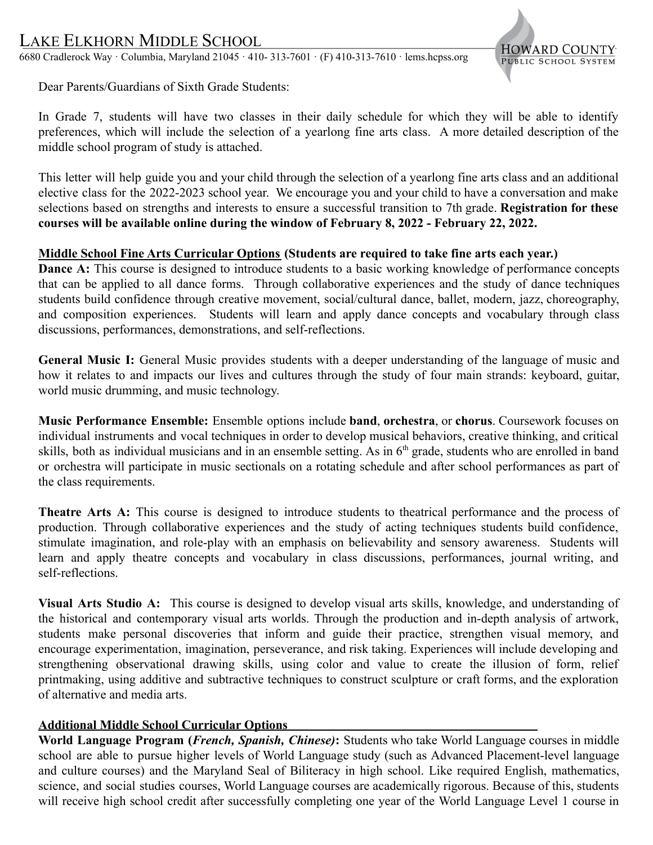# LAKE ELKHORN MIDDLE SCHOOL

6680 Cradlerock Way · Columbia, Maryland 21045 · 410- 313-7601 · (F) 410-313-7610 · lems.hcpss.org



Dear Parents/Guardians of Sixth Grade Students:

In Grade 7, students will have two classes in their daily schedule for which they will be able to identify preferences, which will include the selection of a yearlong fine arts class. A more detailed description of the middle school program of study is attached.

This letter will help guide you and your child through the selection of a yearlong fine arts class and an additional elective class for the 2022-2023 school year. We encourage you and your child to have a conversation and make selections based on strengths and interests to ensure a successful transition to 7th grade. **Registration for these courses will be available online during the window of February 8, 2022 - February 22, 2022.**

#### **Middle School Fine Arts Curricular Options (Students are required to take fine arts each year.)**

**Dance** A: This course is designed to introduce students to a basic working knowledge of performance concepts that can be applied to all dance forms. Through collaborative experiences and the study of dance techniques students build confidence through creative movement, social/cultural dance, ballet, modern, jazz, choreography, and composition experiences. Students will learn and apply dance concepts and vocabulary through class discussions, performances, demonstrations, and self-reflections.

**General Music I:** General Music provides students with a deeper understanding of the language of music and how it relates to and impacts our lives and cultures through the study of four main strands: keyboard, guitar, world music drumming, and music technology.

**Music Performance Ensemble:** Ensemble options include **band**, **orchestra**, or **chorus**. Coursework focuses on individual instruments and vocal techniques in order to develop musical behaviors, creative thinking, and critical skills, both as individual musicians and in an ensemble setting. As in  $6<sup>th</sup>$  grade, students who are enrolled in band or orchestra will participate in music sectionals on a rotating schedule and after school performances as part of the class requirements.

**Theatre Arts A:** This course is designed to introduce students to theatrical performance and the process of production. Through collaborative experiences and the study of acting techniques students build confidence, stimulate imagination, and role-play with an emphasis on believability and sensory awareness. Students will learn and apply theatre concepts and vocabulary in class discussions, performances, journal writing, and self-reflections.

**Visual Arts Studio A:** This course is designed to develop visual arts skills, knowledge, and understanding of the historical and contemporary visual arts worlds. Through the production and in-depth analysis of artwork, students make personal discoveries that inform and guide their practice, strengthen visual memory, and encourage experimentation, imagination, perseverance, and risk taking. Experiences will include developing and strengthening observational drawing skills, using color and value to create the illusion of form, relief printmaking, using additive and subtractive techniques to construct sculpture or craft forms, and the exploration of alternative and media arts.

### **Additional Middle School Curricular Options**

**World Language Program (***French, Spanish, Chinese)***:** Students who take World Language courses in middle school are able to pursue higher levels of World Language study (such as Advanced Placement-level language and culture courses) and the Maryland Seal of Biliteracy in high school. Like required English, mathematics, science, and social studies courses, World Language courses are academically rigorous. Because of this, students will receive high school credit after successfully completing one year of the World Language Level 1 course in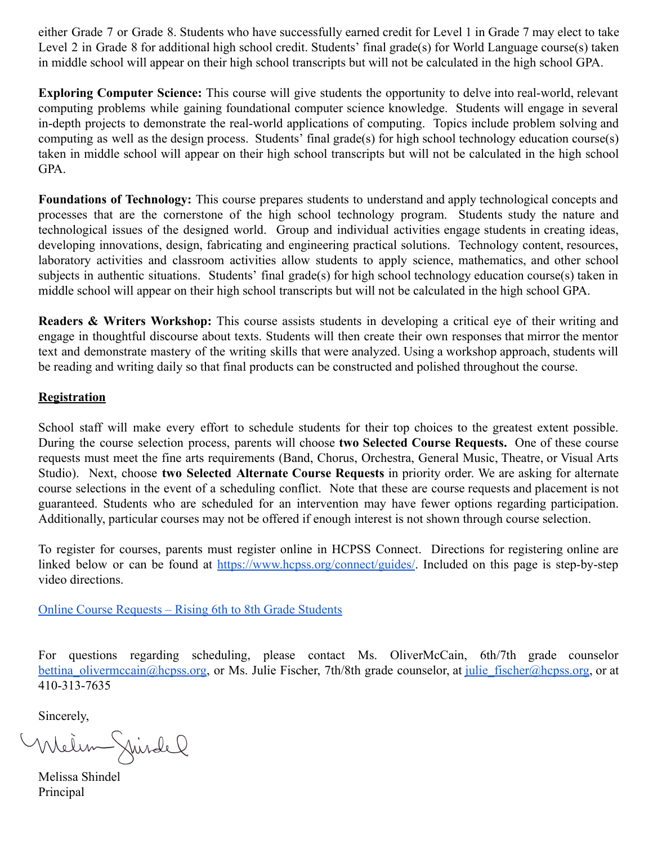either Grade 7 or Grade 8. Students who have successfully earned credit for Level 1 in Grade 7 may elect to take Level 2 in Grade 8 for additional high school credit. Students' final grade(s) for World Language course(s) taken in middle school will appear on their high school transcripts but will not be calculated in the high school GPA.

**Exploring Computer Science:** This course will give students the opportunity to delve into real-world, relevant computing problems while gaining foundational computer science knowledge. Students will engage in several in-depth projects to demonstrate the real-world applications of computing. Topics include problem solving and computing as well as the design process. Students' final grade(s) for high school technology education course(s) taken in middle school will appear on their high school transcripts but will not be calculated in the high school GPA.

**Foundations of Technology:** This course prepares students to understand and apply technological concepts and processes that are the cornerstone of the high school technology program. Students study the nature and technological issues of the designed world. Group and individual activities engage students in creating ideas, developing innovations, design, fabricating and engineering practical solutions. Technology content, resources, laboratory activities and classroom activities allow students to apply science, mathematics, and other school subjects in authentic situations. Students' final grade(s) for high school technology education course(s) taken in middle school will appear on their high school transcripts but will not be calculated in the high school GPA.

**Readers & Writers Workshop:** This course assists students in developing a critical eye of their writing and engage in thoughtful discourse about texts. Students will then create their own responses that mirror the mentor text and demonstrate mastery of the writing skills that were analyzed. Using a workshop approach, students will be reading and writing daily so that final products can be constructed and polished throughout the course.

### **Registration**

School staff will make every effort to schedule students for their top choices to the greatest extent possible. During the course selection process, parents will choose **two Selected Course Requests.** One of these course requests must meet the fine arts requirements (Band, Chorus, Orchestra, General Music, Theatre, or Visual Arts Studio). Next, choose **two Selected Alternate Course Requests** in priority order. We are asking for alternate course selections in the event of a scheduling conflict. Note that these are course requests and placement is not guaranteed. Students who are scheduled for an intervention may have fewer options regarding participation. Additionally, particular courses may not be offered if enough interest is not shown through course selection.

To register for courses, parents must register online in HCPSS Connect. Directions for registering online are linked below or can be found at <https://www.hcpss.org/connect/guides/>. Included on this page is step-by-step video directions.

[Online Course Requests – Rising 6th to 8th Grade Students](https://www.hcpss.org/f/connect/hcpss-connect-online-course-requests-6th-8th.pdf)

For questions regarding scheduling, please contact Ms. OliverMcCain, 6th/7th grade counselor bettina olivermccain@hcpss.org, or Ms. Julie Fischer, 7th/8th grade counselor, at julie fischer@hcpss.org, or at 410-313-7635

Sincerely,

Whelim Spindel

Melissa Shindel Principal